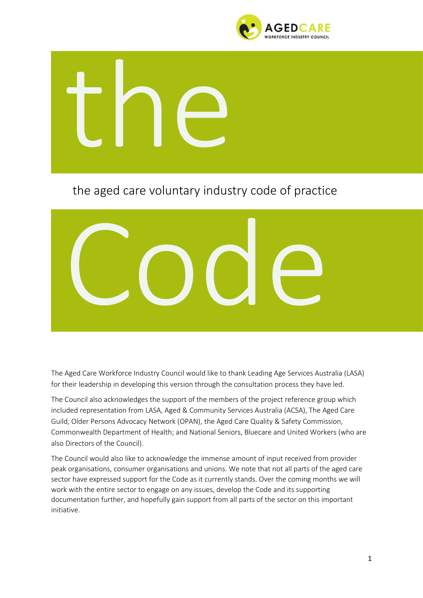



## the aged care voluntary industry code of practice



The Aged Care Workforce Industry Council would like to thank Leading Age Services Australia (LASA) for their leadership in developing this version through the consultation process they have led.

The Council also acknowledges the support of the members of the project reference group which included representation from LASA, Aged & Community Services Australia (ACSA), The Aged Care Guild, Older Persons Advocacy Network (OPAN), the Aged Care Quality & Safety Commission, Commonwealth Department of Health; and National Seniors, Bluecare and United Workers (who are also Directors of the Council).

The Council would also like to acknowledge the immense amount of input received from provider peak organisations, consumer organisations and unions. We note that not all parts of the aged care sector have expressed support for the Code as it currently stands. Over the coming months we will work with the entire sector to engage on any issues, develop the Code and its supporting documentation further, and hopefully gain support from all parts of the sector on this important initiative.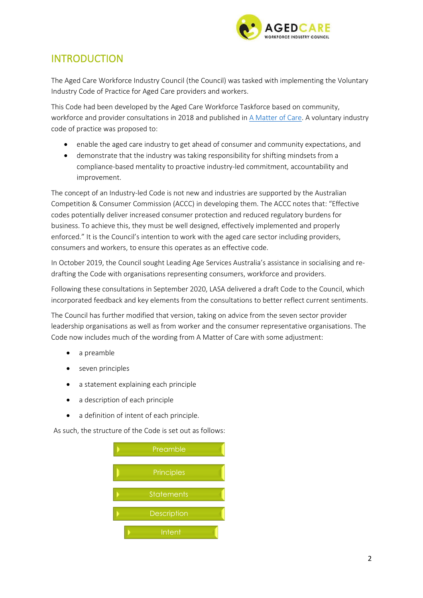

### INTRODUCTION

The Aged Care Workforce Industry Council (the Council) was tasked with implementing the Voluntary Industry Code of Practice for Aged Care providers and workers.

This Code had been developed by the Aged Care Workforce Taskforce based on community, workforce and provider consultations in 2018 and published in [A Matter of Care.](https://agedcare.royalcommission.gov.au/system/files/2020-06/UVH.0001.0007.0001.pdf) A voluntary industry code of practice was proposed to:

- enable the aged care industry to get ahead of consumer and community expectations, and
- demonstrate that the industry was taking responsibility for shifting mindsets from a compliance-based mentality to proactive industry-led commitment, accountability and improvement.

The concept of an Industry-led Code is not new and industries are supported by the Australian Competition & Consumer Commission (ACCC) in developing them. The ACCC notes that: "Effective codes potentially deliver increased consumer protection and reduced regulatory burdens for business. To achieve this, they must be well designed, effectively implemented and properly enforced." It is the Council's intention to work with the aged care sector including providers, consumers and workers, to ensure this operates as an effective code.

In October 2019, the Council sought Leading Age Services Australia's assistance in socialising and redrafting the Code with organisations representing consumers, workforce and providers.

Following these consultations in September 2020, LASA delivered a draft Code to the Council, which incorporated feedback and key elements from the consultations to better reflect current sentiments.

The Council has further modified that version, taking on advice from the seven sector provider leadership organisations as well as from worker and the consumer representative organisations. The Code now includes much of the wording from A Matter of Care with some adjustment:

- a preamble
- seven principles
- a statement explaining each principle
- a description of each principle
- a definition of intent of each principle.

As such, the structure of the Code is set out as follows:

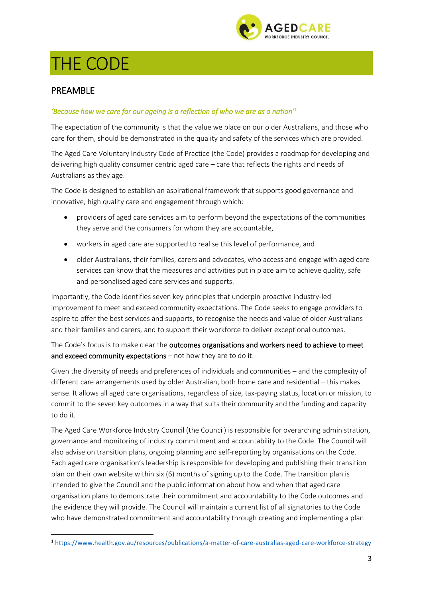

# THE CODE

#### PREAMBLE

#### *'Because how we care for our ageing is a reflection of who we are as a nation'<sup>1</sup>*

The expectation of the community is that the value we place on our older Australians, and those who care for them, should be demonstrated in the quality and safety of the services which are provided.

The Aged Care Voluntary Industry Code of Practice (the Code) provides a roadmap for developing and delivering high quality consumer centric aged care – care that reflects the rights and needs of Australians as they age.

The Code is designed to establish an aspirational framework that supports good governance and innovative, high quality care and engagement through which:

- providers of aged care services aim to perform beyond the expectations of the communities they serve and the consumers for whom they are accountable,
- workers in aged care are supported to realise this level of performance, and
- older Australians, their families, carers and advocates, who access and engage with aged care services can know that the measures and activities put in place aim to achieve quality, safe and personalised aged care services and supports.

Importantly, the Code identifies seven key principles that underpin proactive industry-led improvement to meet and exceed community expectations. The Code seeks to engage providers to aspire to offer the best services and supports, to recognise the needs and value of older Australians and their families and carers, and to support their workforce to deliver exceptional outcomes.

The Code's focus is to make clear the outcomes organisations and workers need to achieve to meet and exceed community expectations – not how they are to do it.

Given the diversity of needs and preferences of individuals and communities – and the complexity of different care arrangements used by older Australian, both home care and residential – this makes sense. It allows all aged care organisations, regardless of size, tax-paying status, location or mission, to commit to the seven key outcomes in a way that suits their community and the funding and capacity to do it.

The Aged Care Workforce Industry Council (the Council) is responsible for overarching administration, governance and monitoring of industry commitment and accountability to the Code. The Council will also advise on transition plans, ongoing planning and self-reporting by organisations on the Code. Each aged care organisation's leadership is responsible for developing and publishing their transition plan on their own website within six (6) months of signing up to the Code. The transition plan is intended to give the Council and the public information about how and when that aged care organisation plans to demonstrate their commitment and accountability to the Code outcomes and the evidence they will provide. The Council will maintain a current list of all signatories to the Code who have demonstrated commitment and accountability through creating and implementing a plan

<sup>1</sup> <https://www.health.gov.au/resources/publications/a-matter-of-care-australias-aged-care-workforce-strategy>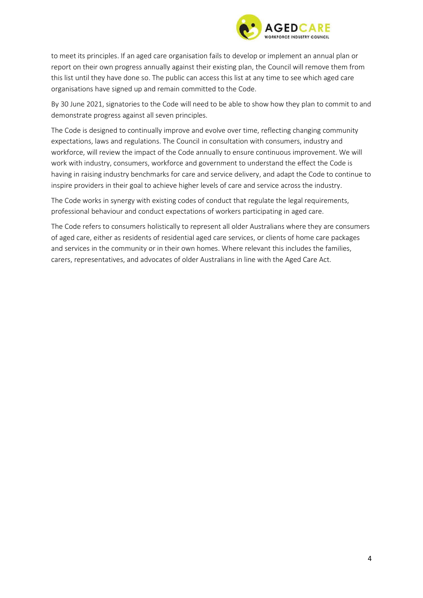

to meet its principles. If an aged care organisation fails to develop or implement an annual plan or report on their own progress annually against their existing plan, the Council will remove them from this list until they have done so. The public can access this list at any time to see which aged care organisations have signed up and remain committed to the Code.

By 30 June 2021, signatories to the Code will need to be able to show how they plan to commit to and demonstrate progress against all seven principles.

The Code is designed to continually improve and evolve over time, reflecting changing community expectations, laws and regulations. The Council in consultation with consumers, industry and workforce, will review the impact of the Code annually to ensure continuous improvement. We will work with industry, consumers, workforce and government to understand the effect the Code is having in raising industry benchmarks for care and service delivery, and adapt the Code to continue to inspire providers in their goal to achieve higher levels of care and service across the industry.

The Code works in synergy with existing codes of conduct that regulate the legal requirements, professional behaviour and conduct expectations of workers participating in aged care.

The Code refers to consumers holistically to represent all older Australians where they are consumers of aged care, either as residents of residential aged care services, or clients of home care packages and services in the community or in their own homes. Where relevant this includes the families, carers, representatives, and advocates of older Australians in line with the Aged Care Act.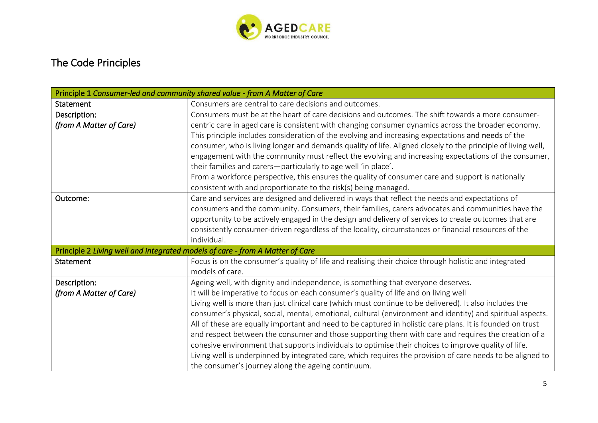

## The Code Principles

| Principle 1 Consumer-led and community shared value - from A Matter of Care   |                                                                                                              |  |
|-------------------------------------------------------------------------------|--------------------------------------------------------------------------------------------------------------|--|
| Statement                                                                     | Consumers are central to care decisions and outcomes.                                                        |  |
| Description:                                                                  | Consumers must be at the heart of care decisions and outcomes. The shift towards a more consumer-            |  |
| (from A Matter of Care)                                                       | centric care in aged care is consistent with changing consumer dynamics across the broader economy.          |  |
|                                                                               | This principle includes consideration of the evolving and increasing expectations and needs of the           |  |
|                                                                               | consumer, who is living longer and demands quality of life. Aligned closely to the principle of living well, |  |
|                                                                               | engagement with the community must reflect the evolving and increasing expectations of the consumer,         |  |
|                                                                               | their families and carers-particularly to age well 'in place'.                                               |  |
|                                                                               | From a workforce perspective, this ensures the quality of consumer care and support is nationally            |  |
|                                                                               | consistent with and proportionate to the risk(s) being managed.                                              |  |
| Outcome:                                                                      | Care and services are designed and delivered in ways that reflect the needs and expectations of              |  |
|                                                                               | consumers and the community. Consumers, their families, carers advocates and communities have the            |  |
|                                                                               | opportunity to be actively engaged in the design and delivery of services to create outcomes that are        |  |
|                                                                               | consistently consumer-driven regardless of the locality, circumstances or financial resources of the         |  |
|                                                                               | individual.                                                                                                  |  |
| Principle 2 Living well and integrated models of care - from A Matter of Care |                                                                                                              |  |
| Statement                                                                     | Focus is on the consumer's quality of life and realising their choice through holistic and integrated        |  |
|                                                                               | models of care.                                                                                              |  |
| Description:                                                                  | Ageing well, with dignity and independence, is something that everyone deserves.                             |  |
| (from A Matter of Care)                                                       | It will be imperative to focus on each consumer's quality of life and on living well                         |  |
|                                                                               | Living well is more than just clinical care (which must continue to be delivered). It also includes the      |  |
|                                                                               | consumer's physical, social, mental, emotional, cultural (environment and identity) and spiritual aspects.   |  |
|                                                                               | All of these are equally important and need to be captured in holistic care plans. It is founded on trust    |  |
|                                                                               | and respect between the consumer and those supporting them with care and requires the creation of a          |  |
|                                                                               | cohesive environment that supports individuals to optimise their choices to improve quality of life.         |  |
|                                                                               | Living well is underpinned by integrated care, which requires the provision of care needs to be aligned to   |  |
|                                                                               | the consumer's journey along the ageing continuum.                                                           |  |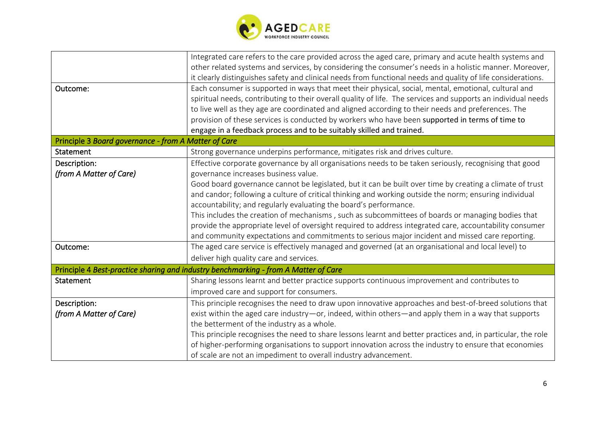

| Outcome:                                             | Integrated care refers to the care provided across the aged care, primary and acute health systems and<br>other related systems and services, by considering the consumer's needs in a holistic manner. Moreover,<br>it clearly distinguishes safety and clinical needs from functional needs and quality of life considerations.<br>Each consumer is supported in ways that meet their physical, social, mental, emotional, cultural and |  |
|------------------------------------------------------|-------------------------------------------------------------------------------------------------------------------------------------------------------------------------------------------------------------------------------------------------------------------------------------------------------------------------------------------------------------------------------------------------------------------------------------------|--|
|                                                      | spiritual needs, contributing to their overall quality of life. The services and supports an individual needs                                                                                                                                                                                                                                                                                                                             |  |
|                                                      | to live well as they age are coordinated and aligned according to their needs and preferences. The                                                                                                                                                                                                                                                                                                                                        |  |
|                                                      | provision of these services is conducted by workers who have been supported in terms of time to                                                                                                                                                                                                                                                                                                                                           |  |
|                                                      | engage in a feedback process and to be suitably skilled and trained.                                                                                                                                                                                                                                                                                                                                                                      |  |
| Principle 3 Board governance - from A Matter of Care |                                                                                                                                                                                                                                                                                                                                                                                                                                           |  |
| Statement                                            | Strong governance underpins performance, mitigates risk and drives culture.                                                                                                                                                                                                                                                                                                                                                               |  |
| Description:                                         | Effective corporate governance by all organisations needs to be taken seriously, recognising that good                                                                                                                                                                                                                                                                                                                                    |  |
| (from A Matter of Care)                              | governance increases business value.                                                                                                                                                                                                                                                                                                                                                                                                      |  |
|                                                      | Good board governance cannot be legislated, but it can be built over time by creating a climate of trust                                                                                                                                                                                                                                                                                                                                  |  |
|                                                      | and candor; following a culture of critical thinking and working outside the norm; ensuring individual                                                                                                                                                                                                                                                                                                                                    |  |
|                                                      | accountability; and regularly evaluating the board's performance.                                                                                                                                                                                                                                                                                                                                                                         |  |
|                                                      | This includes the creation of mechanisms, such as subcommittees of boards or managing bodies that                                                                                                                                                                                                                                                                                                                                         |  |
|                                                      | provide the appropriate level of oversight required to address integrated care, accountability consumer                                                                                                                                                                                                                                                                                                                                   |  |
|                                                      | and community expectations and commitments to serious major incident and missed care reporting.                                                                                                                                                                                                                                                                                                                                           |  |
| Outcome:                                             | The aged care service is effectively managed and governed (at an organisational and local level) to                                                                                                                                                                                                                                                                                                                                       |  |
|                                                      | deliver high quality care and services.                                                                                                                                                                                                                                                                                                                                                                                                   |  |
|                                                      | Principle 4 Best-practice sharing and industry benchmarking - from A Matter of Care                                                                                                                                                                                                                                                                                                                                                       |  |
| Statement                                            | Sharing lessons learnt and better practice supports continuous improvement and contributes to                                                                                                                                                                                                                                                                                                                                             |  |
|                                                      | improved care and support for consumers.                                                                                                                                                                                                                                                                                                                                                                                                  |  |
| Description:                                         | This principle recognises the need to draw upon innovative approaches and best-of-breed solutions that                                                                                                                                                                                                                                                                                                                                    |  |
| (from A Matter of Care)                              | exist within the aged care industry-or, indeed, within others-and apply them in a way that supports                                                                                                                                                                                                                                                                                                                                       |  |
|                                                      | the betterment of the industry as a whole.                                                                                                                                                                                                                                                                                                                                                                                                |  |
|                                                      | This principle recognises the need to share lessons learnt and better practices and, in particular, the role                                                                                                                                                                                                                                                                                                                              |  |
|                                                      | of higher-performing organisations to support innovation across the industry to ensure that economies                                                                                                                                                                                                                                                                                                                                     |  |
|                                                      | of scale are not an impediment to overall industry advancement.                                                                                                                                                                                                                                                                                                                                                                           |  |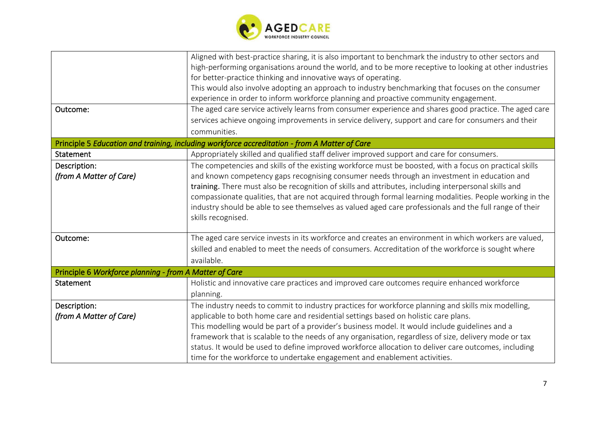

| Outcome:                                               | Aligned with best-practice sharing, it is also important to benchmark the industry to other sectors and<br>high-performing organisations around the world, and to be more receptive to looking at other industries<br>for better-practice thinking and innovative ways of operating.<br>This would also involve adopting an approach to industry benchmarking that focuses on the consumer<br>experience in order to inform workforce planning and proactive community engagement.<br>The aged care service actively learns from consumer experience and shares good practice. The aged care<br>services achieve ongoing improvements in service delivery, support and care for consumers and their |
|--------------------------------------------------------|-----------------------------------------------------------------------------------------------------------------------------------------------------------------------------------------------------------------------------------------------------------------------------------------------------------------------------------------------------------------------------------------------------------------------------------------------------------------------------------------------------------------------------------------------------------------------------------------------------------------------------------------------------------------------------------------------------|
|                                                        | communities.                                                                                                                                                                                                                                                                                                                                                                                                                                                                                                                                                                                                                                                                                        |
|                                                        | Principle 5 Education and training, including workforce accreditation - from A Matter of Care                                                                                                                                                                                                                                                                                                                                                                                                                                                                                                                                                                                                       |
| Statement                                              | Appropriately skilled and qualified staff deliver improved support and care for consumers.                                                                                                                                                                                                                                                                                                                                                                                                                                                                                                                                                                                                          |
| Description:<br>(from A Matter of Care)                | The competencies and skills of the existing workforce must be boosted, with a focus on practical skills<br>and known competency gaps recognising consumer needs through an investment in education and<br>training. There must also be recognition of skills and attributes, including interpersonal skills and<br>compassionate qualities, that are not acquired through formal learning modalities. People working in the<br>industry should be able to see themselves as valued aged care professionals and the full range of their<br>skills recognised.                                                                                                                                        |
| Outcome:                                               | The aged care service invests in its workforce and creates an environment in which workers are valued,<br>skilled and enabled to meet the needs of consumers. Accreditation of the workforce is sought where<br>available.                                                                                                                                                                                                                                                                                                                                                                                                                                                                          |
| Principle 6 Workforce planning - from A Matter of Care |                                                                                                                                                                                                                                                                                                                                                                                                                                                                                                                                                                                                                                                                                                     |
| Statement                                              | Holistic and innovative care practices and improved care outcomes require enhanced workforce<br>planning.                                                                                                                                                                                                                                                                                                                                                                                                                                                                                                                                                                                           |
| Description:<br>(from A Matter of Care)                | The industry needs to commit to industry practices for workforce planning and skills mix modelling,<br>applicable to both home care and residential settings based on holistic care plans.<br>This modelling would be part of a provider's business model. It would include guidelines and a<br>framework that is scalable to the needs of any organisation, regardless of size, delivery mode or tax<br>status. It would be used to define improved workforce allocation to deliver care outcomes, including<br>time for the workforce to undertake engagement and enablement activities.                                                                                                          |